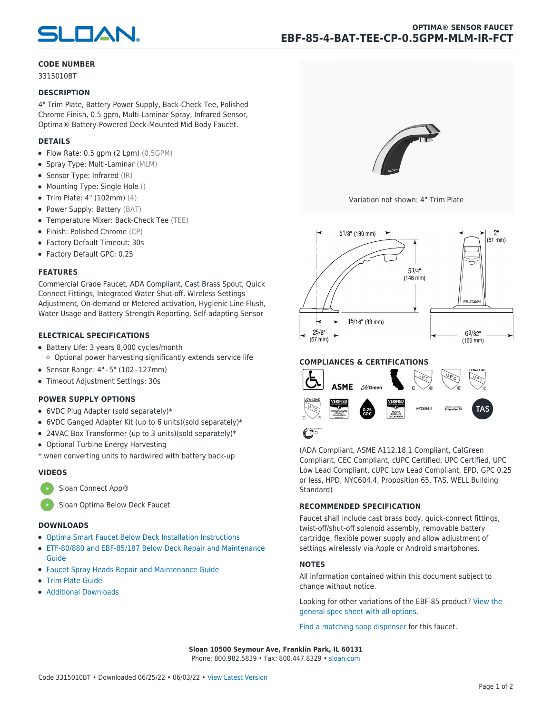

# **CODE NUMBER**

3315010BT

#### **DESCRIPTION**

4" Trim Plate, Battery Power Supply, Back-Check Tee, Polished Chrome Finish, 0.5 gpm, Multi-Laminar Spray, Infrared Sensor, Optima® Battery-Powered Deck-Mounted Mid Body Faucet.

# **DETAILS**

- Flow Rate: 0.5 gpm (2 Lpm) (0.5GPM)
- Spray Type: Multi-Laminar (MLM)
- Sensor Type: Infrared (IR)
- Mounting Type: Single Hole ()
- Trim Plate: 4" (102mm) (4)
- Power Supply: Battery (BAT)
- Temperature Mixer: Back-Check Tee (TEE)
- Finish: Polished Chrome (CP)
- Factory Default Timeout: 30s
- Factory Default GPC: 0.25

## **FEATURES**

Commercial Grade Faucet, ADA Compliant, Cast Brass Spout, Quick Connect Fittings, Integrated Water Shut-off, Wireless Settings Adjustment, On-demand or Metered activation, Hygienic Line Flush, Water Usage and Battery Strength Reporting, Self-adapting Sensor

## **ELECTRICAL SPECIFICATIONS**

- Battery Life: 3 years 8,000 cycles/month  $\circ$  Optional power harvesting significantly extends service life
- Sensor Range: 4"-5" (102-127mm)
- Timeout Adjustment Settings: 30s

## **POWER SUPPLY OPTIONS**

- 6VDC Plug Adapter (sold separately)\*
- 6VDC Ganged Adapter Kit (up to 6 units)(sold separately)\*
- 24VAC Box Transformer (up to 3 units)(sold separately)\*
- Optional Turbine Energy Harvesting
- \* when converting units to hardwired with battery back-up

#### **VIDEOS**



[Sloan Optima Below Deck Faucet](https://vimeo.com/282573819)

# **DOWNLOADS**

- [Optima Smart Faucet Below Deck Installation Instructions](https://www.sloan.com/sites/default/files/2022-03/0816843%20Rev4.pdf)
- [ETF-80/880 and EBF-85/187 Below Deck Repair and Maintenance](https://www.sloan.com/sites/default/files/2020-03/RM_BT_80-85-880-187.pdf) [Guide](https://www.sloan.com/sites/default/files/2020-03/RM_BT_80-85-880-187.pdf)
- [Faucet Spray Heads Repair and Maintenance Guide](https://www.sloan.com/sites/default/files/2020-03/Optima-OptimaPlusFaucet_Spray_Heads.pdf)
- [Trim Plate Guide](https://www.sloan.com/sites/default/files/2020-03/Trim_PlatesAllFaucets.pdf)
- [Additional Downloads](https://www.sloan.com/commercial-bathroom-products/faucets/optima/ebf-85)



Variation not shown: 4" Trim Plate



# **COMPLIANCES & CERTIFICATIONS**



(ADA Compliant, ASME A112.18.1 Compliant, CalGreen Compliant, CEC Compliant, cUPC Certified, UPC Certified, UPC Low Lead Compliant, cUPC Low Lead Compliant, EPD, GPC 0.25 or less, HPD, NYC604.4, Proposition 65, TAS, WELL Building Standard)

# **RECOMMENDED SPECIFICATION**

Faucet shall include cast brass body, quick-connect fittings, twist-off/shut-off solenoid assembly, removable battery cartridge, flexible power supply and allow adjustment of settings wirelessly via Apple or Android smartphones.

## **NOTES**

All information contained within this document subject to change without notice.

[Looking for other variations of the EBF-85 product? View the](https://www.sloan.com/general-spec/506) [general spec sheet with all options.](https://www.sloan.com/general-spec/506)

[Find a matching soap dispenser](https://www.sloan.com/commercial-bathroom-products/soap-dispensers) for this faucet.

**Sloan 10500 Seymour Ave, Franklin Park, IL 60131** Phone: 800.982.5839 • Fax: 800.447.8329 • [sloan.com](https://www.sloan.com)